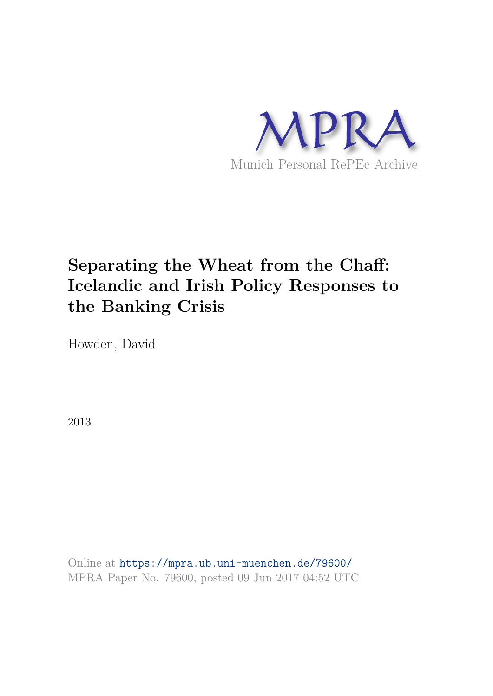

# **Separating the Wheat from the Chaff: Icelandic and Irish Policy Responses to the Banking Crisis**

Howden, David

2013

Online at https://mpra.ub.uni-muenchen.de/79600/ MPRA Paper No. 79600, posted 09 Jun 2017 04:52 UTC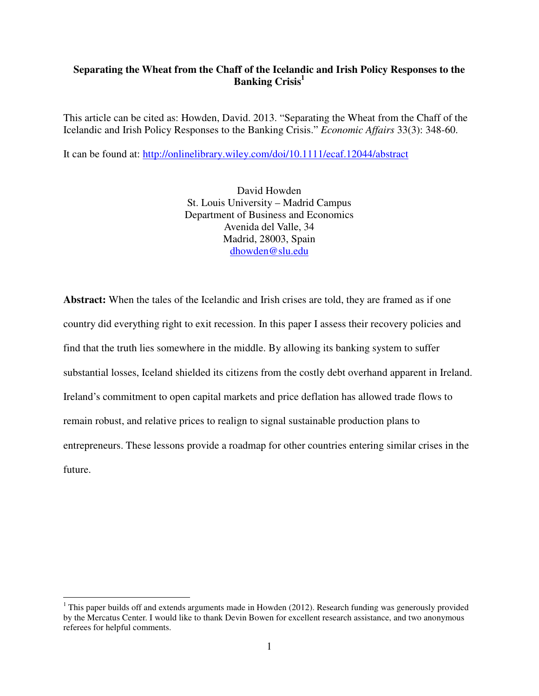# **Separating the Wheat from the Chaff of the Icelandic and Irish Policy Responses to the Banking Crisis<sup>1</sup>**

This article can be cited as: Howden, David. 2013. "Separating the Wheat from the Chaff of the Icelandic and Irish Policy Responses to the Banking Crisis." *Economic Affairs* 33(3): 348-60.

It can be found at: http://onlinelibrary.wiley.com/doi/10.1111/ecaf.12044/abstract

David Howden St. Louis University – Madrid Campus Department of Business and Economics Avenida del Valle, 34 Madrid, 28003, Spain dhowden@slu.edu

**Abstract:** When the tales of the Icelandic and Irish crises are told, they are framed as if one country did everything right to exit recession. In this paper I assess their recovery policies and find that the truth lies somewhere in the middle. By allowing its banking system to suffer substantial losses, Iceland shielded its citizens from the costly debt overhand apparent in Ireland. Ireland's commitment to open capital markets and price deflation has allowed trade flows to remain robust, and relative prices to realign to signal sustainable production plans to entrepreneurs. These lessons provide a roadmap for other countries entering similar crises in the future.

 $\overline{a}$ 

<sup>&</sup>lt;sup>1</sup> This paper builds off and extends arguments made in Howden (2012). Research funding was generously provided by the Mercatus Center. I would like to thank Devin Bowen for excellent research assistance, and two anonymous referees for helpful comments.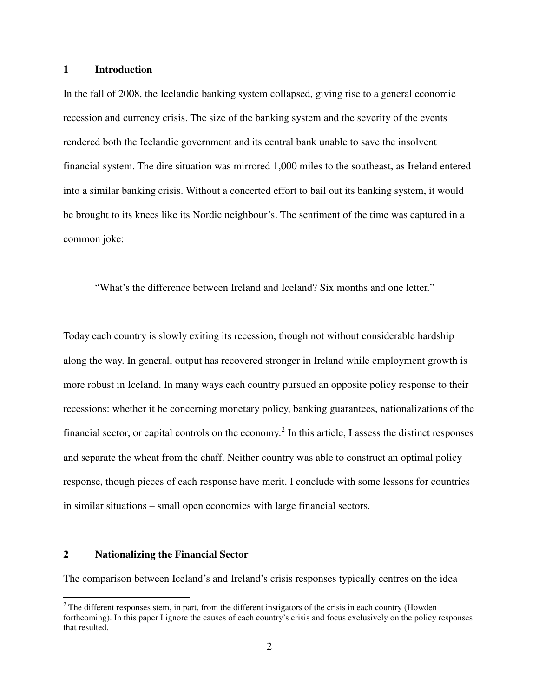# **1 Introduction**

In the fall of 2008, the Icelandic banking system collapsed, giving rise to a general economic recession and currency crisis. The size of the banking system and the severity of the events rendered both the Icelandic government and its central bank unable to save the insolvent financial system. The dire situation was mirrored 1,000 miles to the southeast, as Ireland entered into a similar banking crisis. Without a concerted effort to bail out its banking system, it would be brought to its knees like its Nordic neighbour's. The sentiment of the time was captured in a common joke:

"What's the difference between Ireland and Iceland? Six months and one letter."

Today each country is slowly exiting its recession, though not without considerable hardship along the way. In general, output has recovered stronger in Ireland while employment growth is more robust in Iceland. In many ways each country pursued an opposite policy response to their recessions: whether it be concerning monetary policy, banking guarantees, nationalizations of the financial sector, or capital controls on the economy.<sup>2</sup> In this article, I assess the distinct responses and separate the wheat from the chaff. Neither country was able to construct an optimal policy response, though pieces of each response have merit. I conclude with some lessons for countries in similar situations – small open economies with large financial sectors.

### **2 Nationalizing the Financial Sector**

1

The comparison between Iceland's and Ireland's crisis responses typically centres on the idea

 $2^2$  The different responses stem, in part, from the different instigators of the crisis in each country (Howden forthcoming). In this paper I ignore the causes of each country's crisis and focus exclusively on the policy responses that resulted.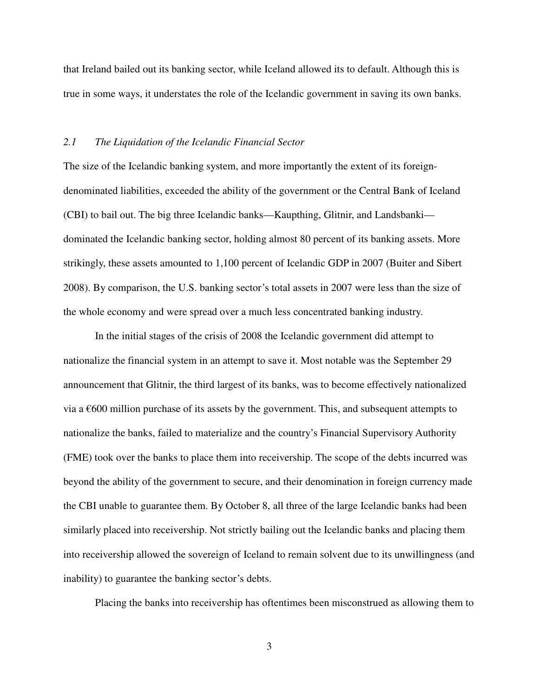that Ireland bailed out its banking sector, while Iceland allowed its to default. Although this is true in some ways, it understates the role of the Icelandic government in saving its own banks.

#### *2.1 The Liquidation of the Icelandic Financial Sector*

The size of the Icelandic banking system, and more importantly the extent of its foreigndenominated liabilities, exceeded the ability of the government or the Central Bank of Iceland (CBI) to bail out. The big three Icelandic banks—Kaupthing, Glitnir, and Landsbanki dominated the Icelandic banking sector, holding almost 80 percent of its banking assets. More strikingly, these assets amounted to 1,100 percent of Icelandic GDP in 2007 (Buiter and Sibert 2008). By comparison, the U.S. banking sector's total assets in 2007 were less than the size of the whole economy and were spread over a much less concentrated banking industry.

In the initial stages of the crisis of 2008 the Icelandic government did attempt to nationalize the financial system in an attempt to save it. Most notable was the September 29 announcement that Glitnir, the third largest of its banks, was to become effectively nationalized via a  $\epsilon$ 600 million purchase of its assets by the government. This, and subsequent attempts to nationalize the banks, failed to materialize and the country's Financial Supervisory Authority (FME) took over the banks to place them into receivership. The scope of the debts incurred was beyond the ability of the government to secure, and their denomination in foreign currency made the CBI unable to guarantee them. By October 8, all three of the large Icelandic banks had been similarly placed into receivership. Not strictly bailing out the Icelandic banks and placing them into receivership allowed the sovereign of Iceland to remain solvent due to its unwillingness (and inability) to guarantee the banking sector's debts.

Placing the banks into receivership has oftentimes been misconstrued as allowing them to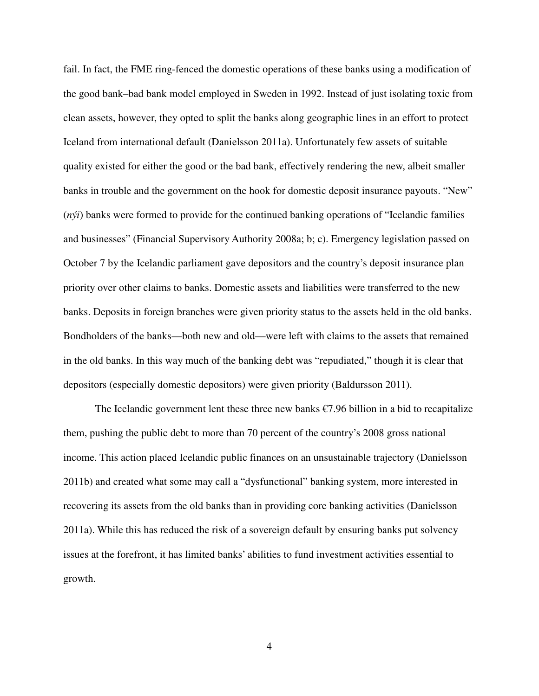fail. In fact, the FME ring-fenced the domestic operations of these banks using a modification of the good bank–bad bank model employed in Sweden in 1992. Instead of just isolating toxic from clean assets, however, they opted to split the banks along geographic lines in an effort to protect Iceland from international default (Danielsson 2011a). Unfortunately few assets of suitable quality existed for either the good or the bad bank, effectively rendering the new, albeit smaller banks in trouble and the government on the hook for domestic deposit insurance payouts. "New" (*nýi*) banks were formed to provide for the continued banking operations of "Icelandic families and businesses" (Financial Supervisory Authority 2008a; b; c). Emergency legislation passed on October 7 by the Icelandic parliament gave depositors and the country's deposit insurance plan priority over other claims to banks. Domestic assets and liabilities were transferred to the new banks. Deposits in foreign branches were given priority status to the assets held in the old banks. Bondholders of the banks—both new and old—were left with claims to the assets that remained in the old banks. In this way much of the banking debt was "repudiated," though it is clear that depositors (especially domestic depositors) were given priority (Baldursson 2011).

The Icelandic government lent these three new banks  $\epsilon$ 7.96 billion in a bid to recapitalize them, pushing the public debt to more than 70 percent of the country's 2008 gross national income. This action placed Icelandic public finances on an unsustainable trajectory (Danielsson 2011b) and created what some may call a "dysfunctional" banking system, more interested in recovering its assets from the old banks than in providing core banking activities (Danielsson 2011a). While this has reduced the risk of a sovereign default by ensuring banks put solvency issues at the forefront, it has limited banks' abilities to fund investment activities essential to growth.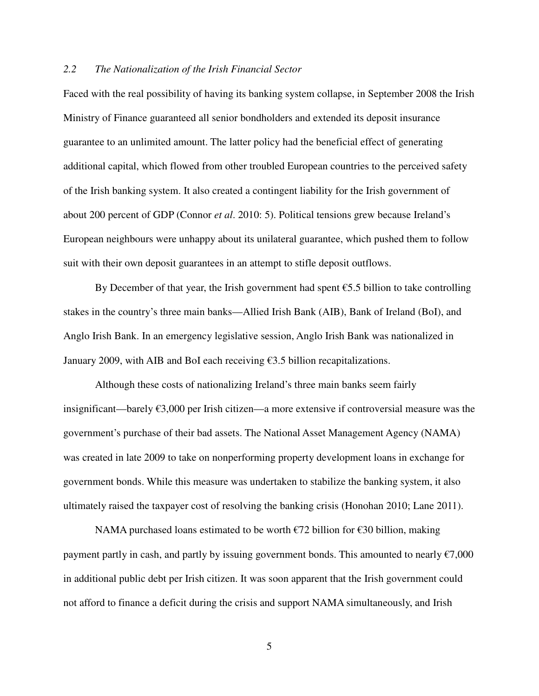# *2.2 The Nationalization of the Irish Financial Sector*

Faced with the real possibility of having its banking system collapse, in September 2008 the Irish Ministry of Finance guaranteed all senior bondholders and extended its deposit insurance guarantee to an unlimited amount. The latter policy had the beneficial effect of generating additional capital, which flowed from other troubled European countries to the perceived safety of the Irish banking system. It also created a contingent liability for the Irish government of about 200 percent of GDP (Connor *et al*. 2010: 5). Political tensions grew because Ireland's European neighbours were unhappy about its unilateral guarantee, which pushed them to follow suit with their own deposit guarantees in an attempt to stifle deposit outflows.

By December of that year, the Irish government had spent  $\epsilon$ 5.5 billion to take controlling stakes in the country's three main banks—Allied Irish Bank (AIB), Bank of Ireland (BoI), and Anglo Irish Bank. In an emergency legislative session, Anglo Irish Bank was nationalized in January 2009, with AIB and BoI each receiving  $\epsilon$ 3.5 billion recapitalizations.

 Although these costs of nationalizing Ireland's three main banks seem fairly insignificant—barely €3,000 per Irish citizen—a more extensive if controversial measure was the government's purchase of their bad assets. The National Asset Management Agency (NAMA) was created in late 2009 to take on nonperforming property development loans in exchange for government bonds. While this measure was undertaken to stabilize the banking system, it also ultimately raised the taxpayer cost of resolving the banking crisis (Honohan 2010; Lane 2011).

 NAMA purchased loans estimated to be worth €72 billion for €30 billion, making payment partly in cash, and partly by issuing government bonds. This amounted to nearly  $\epsilon$ 7,000 in additional public debt per Irish citizen. It was soon apparent that the Irish government could not afford to finance a deficit during the crisis and support NAMA simultaneously, and Irish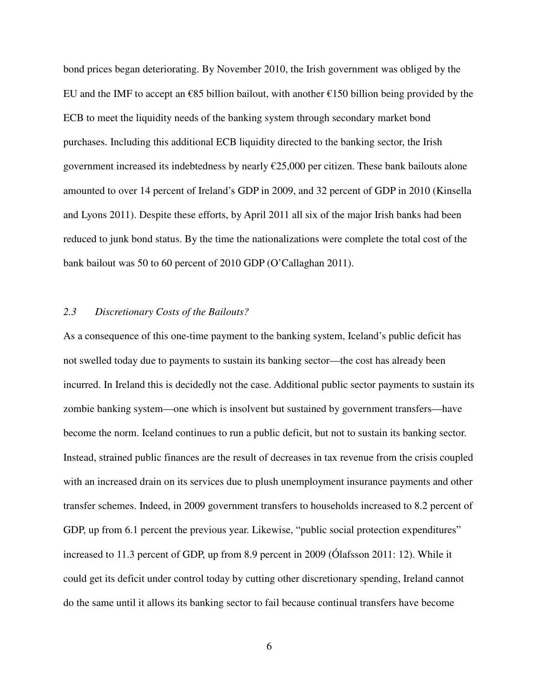bond prices began deteriorating. By November 2010, the Irish government was obliged by the EU and the IMF to accept an  $\epsilon$ 85 billion bailout, with another  $\epsilon$ 150 billion being provided by the ECB to meet the liquidity needs of the banking system through secondary market bond purchases. Including this additional ECB liquidity directed to the banking sector, the Irish government increased its indebtedness by nearly €25,000 per citizen. These bank bailouts alone amounted to over 14 percent of Ireland's GDP in 2009, and 32 percent of GDP in 2010 (Kinsella and Lyons 2011). Despite these efforts, by April 2011 all six of the major Irish banks had been reduced to junk bond status. By the time the nationalizations were complete the total cost of the bank bailout was 50 to 60 percent of 2010 GDP (O'Callaghan 2011).

### *2.3 Discretionary Costs of the Bailouts?*

As a consequence of this one-time payment to the banking system, Iceland's public deficit has not swelled today due to payments to sustain its banking sector—the cost has already been incurred. In Ireland this is decidedly not the case. Additional public sector payments to sustain its zombie banking system—one which is insolvent but sustained by government transfers—have become the norm. Iceland continues to run a public deficit, but not to sustain its banking sector. Instead, strained public finances are the result of decreases in tax revenue from the crisis coupled with an increased drain on its services due to plush unemployment insurance payments and other transfer schemes. Indeed, in 2009 government transfers to households increased to 8.2 percent of GDP, up from 6.1 percent the previous year. Likewise, "public social protection expenditures" increased to 11.3 percent of GDP, up from 8.9 percent in 2009 (Ólafsson 2011: 12). While it could get its deficit under control today by cutting other discretionary spending, Ireland cannot do the same until it allows its banking sector to fail because continual transfers have become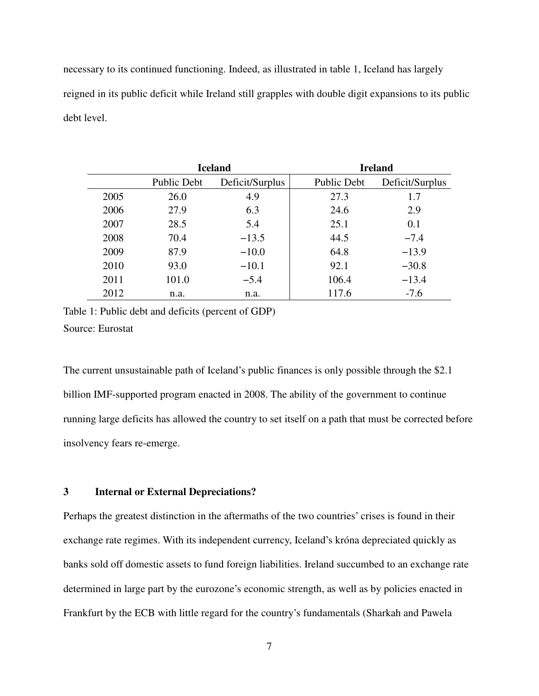necessary to its continued functioning. Indeed, as illustrated in table 1, Iceland has largely reigned in its public deficit while Ireland still grapples with double digit expansions to its public debt level.

|      | <b>Iceland</b>     |                 | <b>Ireland</b>     |                 |
|------|--------------------|-----------------|--------------------|-----------------|
|      | <b>Public Debt</b> | Deficit/Surplus | <b>Public Debt</b> | Deficit/Surplus |
| 2005 | 26.0               | 4.9             | 27.3               | 1.7             |
| 2006 | 27.9               | 6.3             | 24.6               | 2.9             |
| 2007 | 28.5               | 5.4             | 25.1               | 0.1             |
| 2008 | 70.4               | $-13.5$         | 44.5               | $-7.4$          |
| 2009 | 87.9               | $-10.0$         | 64.8               | $-13.9$         |
| 2010 | 93.0               | $-10.1$         | 92.1               | $-30.8$         |
| 2011 | 101.0              | $-5.4$          | 106.4              | $-13.4$         |
| 2012 | n.a.               | n.a.            | 117.6              | $-7.6$          |

Table 1: Public debt and deficits (percent of GDP) Source: Eurostat

The current unsustainable path of Iceland's public finances is only possible through the \$2.1 billion IMF-supported program enacted in 2008. The ability of the government to continue running large deficits has allowed the country to set itself on a path that must be corrected before insolvency fears re-emerge.

# **3 Internal or External Depreciations?**

Perhaps the greatest distinction in the aftermaths of the two countries' crises is found in their exchange rate regimes. With its independent currency, Iceland's króna depreciated quickly as banks sold off domestic assets to fund foreign liabilities. Ireland succumbed to an exchange rate determined in large part by the eurozone's economic strength, as well as by policies enacted in Frankfurt by the ECB with little regard for the country's fundamentals (Sharkah and Pawela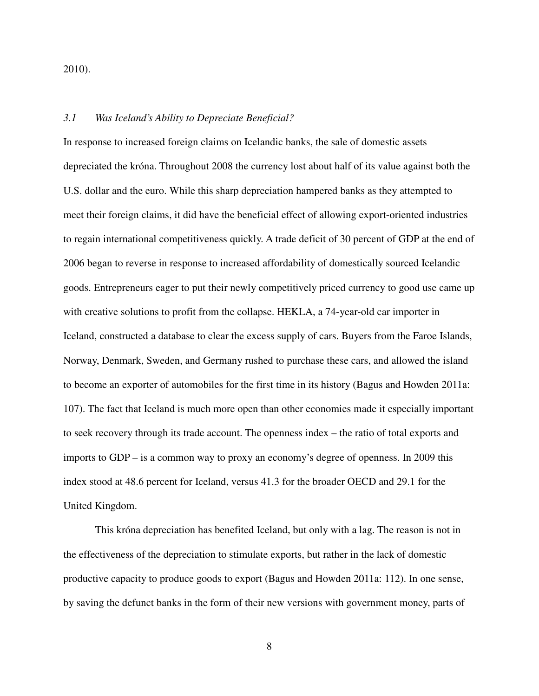2010).

# *3.1 Was Iceland's Ability to Depreciate Beneficial?*

In response to increased foreign claims on Icelandic banks, the sale of domestic assets depreciated the króna. Throughout 2008 the currency lost about half of its value against both the U.S. dollar and the euro. While this sharp depreciation hampered banks as they attempted to meet their foreign claims, it did have the beneficial effect of allowing export-oriented industries to regain international competitiveness quickly. A trade deficit of 30 percent of GDP at the end of 2006 began to reverse in response to increased affordability of domestically sourced Icelandic goods. Entrepreneurs eager to put their newly competitively priced currency to good use came up with creative solutions to profit from the collapse. HEKLA, a 74-year-old car importer in Iceland, constructed a database to clear the excess supply of cars. Buyers from the Faroe Islands, Norway, Denmark, Sweden, and Germany rushed to purchase these cars, and allowed the island to become an exporter of automobiles for the first time in its history (Bagus and Howden 2011a: 107). The fact that Iceland is much more open than other economies made it especially important to seek recovery through its trade account. The openness index – the ratio of total exports and imports to GDP – is a common way to proxy an economy's degree of openness. In 2009 this index stood at 48.6 percent for Iceland, versus 41.3 for the broader OECD and 29.1 for the United Kingdom.

 This króna depreciation has benefited Iceland, but only with a lag. The reason is not in the effectiveness of the depreciation to stimulate exports, but rather in the lack of domestic productive capacity to produce goods to export (Bagus and Howden 2011a: 112). In one sense, by saving the defunct banks in the form of their new versions with government money, parts of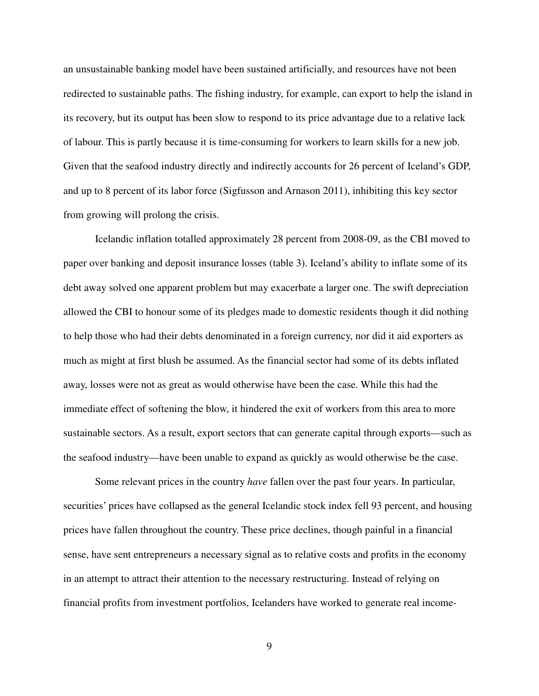an unsustainable banking model have been sustained artificially, and resources have not been redirected to sustainable paths. The fishing industry, for example, can export to help the island in its recovery, but its output has been slow to respond to its price advantage due to a relative lack of labour. This is partly because it is time-consuming for workers to learn skills for a new job. Given that the seafood industry directly and indirectly accounts for 26 percent of Iceland's GDP, and up to 8 percent of its labor force (Sigfusson and Arnason 2011), inhibiting this key sector from growing will prolong the crisis.

Icelandic inflation totalled approximately 28 percent from 2008-09, as the CBI moved to paper over banking and deposit insurance losses (table 3). Iceland's ability to inflate some of its debt away solved one apparent problem but may exacerbate a larger one. The swift depreciation allowed the CBI to honour some of its pledges made to domestic residents though it did nothing to help those who had their debts denominated in a foreign currency, nor did it aid exporters as much as might at first blush be assumed. As the financial sector had some of its debts inflated away, losses were not as great as would otherwise have been the case. While this had the immediate effect of softening the blow, it hindered the exit of workers from this area to more sustainable sectors. As a result, export sectors that can generate capital through exports—such as the seafood industry—have been unable to expand as quickly as would otherwise be the case.

Some relevant prices in the country *have* fallen over the past four years. In particular, securities' prices have collapsed as the general Icelandic stock index fell 93 percent, and housing prices have fallen throughout the country. These price declines, though painful in a financial sense, have sent entrepreneurs a necessary signal as to relative costs and profits in the economy in an attempt to attract their attention to the necessary restructuring. Instead of relying on financial profits from investment portfolios, Icelanders have worked to generate real income-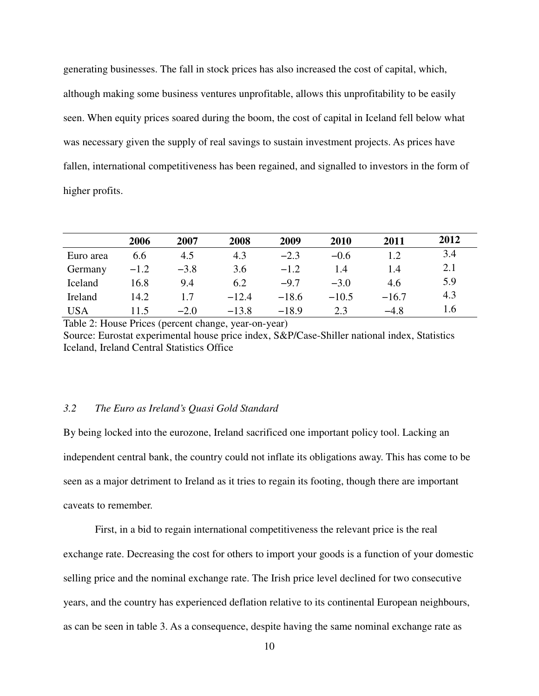generating businesses. The fall in stock prices has also increased the cost of capital, which, although making some business ventures unprofitable, allows this unprofitability to be easily seen. When equity prices soared during the boom, the cost of capital in Iceland fell below what was necessary given the supply of real savings to sustain investment projects. As prices have fallen, international competitiveness has been regained, and signalled to investors in the form of higher profits.

|            | 2006   | 2007   | 2008    | 2009    | 2010    | 2011    | 2012 |
|------------|--------|--------|---------|---------|---------|---------|------|
| Euro area  | 6.6    | 4.5    | 4.3     | $-2.3$  | $-0.6$  | 1.2     | 3.4  |
| Germany    | $-1.2$ | $-3.8$ | 3.6     | $-1.2$  | 1.4     | 1.4     | 2.1  |
| Iceland    | 16.8   | 9.4    | 6.2     | $-9.7$  | $-3.0$  | 4.6     | 5.9  |
| Ireland    | 14.2   | 1.7    | $-12.4$ | $-18.6$ | $-10.5$ | $-16.7$ | 4.3  |
| <b>USA</b> | 11.5   | $-2.0$ | $-13.8$ | $-18.9$ | 2.3     | $-4.8$  | 1.6  |

Table 2: House Prices (percent change, year-on-year) Source: Eurostat experimental house price index, S&P/Case-Shiller national index, Statistics Iceland, Ireland Central Statistics Office

# *3.2 The Euro as Ireland's Quasi Gold Standard*

By being locked into the eurozone, Ireland sacrificed one important policy tool. Lacking an independent central bank, the country could not inflate its obligations away. This has come to be seen as a major detriment to Ireland as it tries to regain its footing, though there are important caveats to remember.

 First, in a bid to regain international competitiveness the relevant price is the real exchange rate. Decreasing the cost for others to import your goods is a function of your domestic selling price and the nominal exchange rate. The Irish price level declined for two consecutive years, and the country has experienced deflation relative to its continental European neighbours, as can be seen in table 3. As a consequence, despite having the same nominal exchange rate as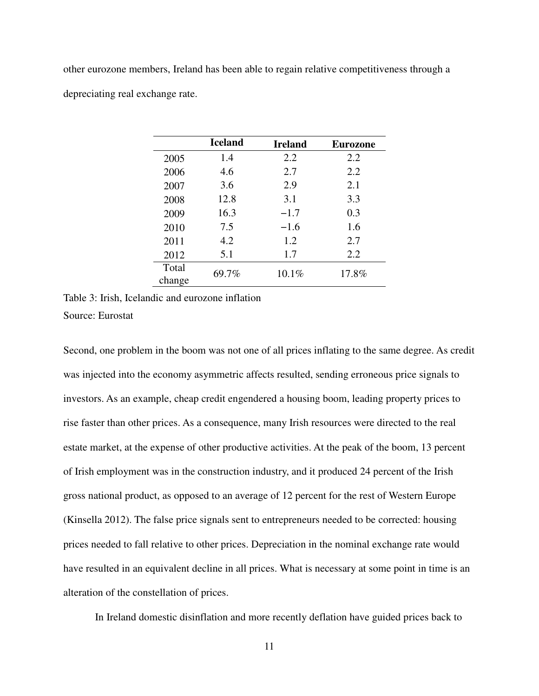other eurozone members, Ireland has been able to regain relative competitiveness through a depreciating real exchange rate.

|                 | <b>Iceland</b> | <b>Ireland</b> | <b>Eurozone</b> |
|-----------------|----------------|----------------|-----------------|
| 2005            | 1.4            | 2.2            | 2.2             |
| 2006            | 4.6            | 2.7            | 2.2             |
| 2007            | 3.6            | 2.9            | 2.1             |
| 2008            | 12.8           | 3.1            | 3.3             |
| 2009            | 16.3           | $-1.7$         | 0.3             |
| 2010            | 7.5            | $-1.6$         | 1.6             |
| 2011            | 4.2            | 1.2            | 2.7             |
| 2012            | 5.1            | 1.7            | 2.2             |
| Total<br>change | 69.7%          | 10.1%          | 17.8%           |

Table 3: Irish, Icelandic and eurozone inflation Source: Eurostat

Second, one problem in the boom was not one of all prices inflating to the same degree. As credit was injected into the economy asymmetric affects resulted, sending erroneous price signals to investors. As an example, cheap credit engendered a housing boom, leading property prices to rise faster than other prices. As a consequence, many Irish resources were directed to the real estate market, at the expense of other productive activities. At the peak of the boom, 13 percent of Irish employment was in the construction industry, and it produced 24 percent of the Irish gross national product, as opposed to an average of 12 percent for the rest of Western Europe (Kinsella 2012). The false price signals sent to entrepreneurs needed to be corrected: housing prices needed to fall relative to other prices. Depreciation in the nominal exchange rate would have resulted in an equivalent decline in all prices. What is necessary at some point in time is an alteration of the constellation of prices.

In Ireland domestic disinflation and more recently deflation have guided prices back to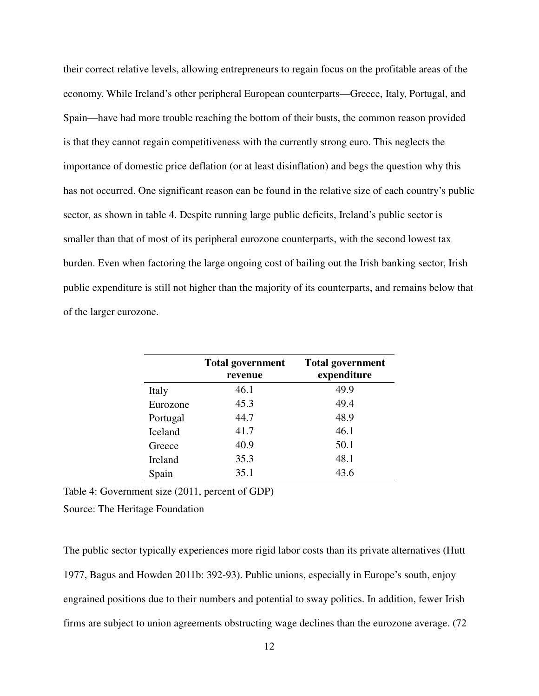their correct relative levels, allowing entrepreneurs to regain focus on the profitable areas of the economy. While Ireland's other peripheral European counterparts—Greece, Italy, Portugal, and Spain—have had more trouble reaching the bottom of their busts, the common reason provided is that they cannot regain competitiveness with the currently strong euro. This neglects the importance of domestic price deflation (or at least disinflation) and begs the question why this has not occurred. One significant reason can be found in the relative size of each country's public sector, as shown in table 4. Despite running large public deficits, Ireland's public sector is smaller than that of most of its peripheral eurozone counterparts, with the second lowest tax burden. Even when factoring the large ongoing cost of bailing out the Irish banking sector, Irish public expenditure is still not higher than the majority of its counterparts, and remains below that of the larger eurozone.

|                | <b>Total government</b><br>revenue | <b>Total government</b><br>expenditure |
|----------------|------------------------------------|----------------------------------------|
| Italy          | 46.1                               | 49.9                                   |
| Eurozone       | 45.3                               | 49.4                                   |
| Portugal       | 44.7                               | 48.9                                   |
| <b>Iceland</b> | 41.7                               | 46.1                                   |
| Greece         | 40.9                               | 50.1                                   |
| Ireland        | 35.3                               | 48.1                                   |
| Spain          | 35.1                               | 43.6                                   |

Table 4: Government size (2011, percent of GDP)

Source: The Heritage Foundation

The public sector typically experiences more rigid labor costs than its private alternatives (Hutt 1977, Bagus and Howden 2011b: 392-93). Public unions, especially in Europe's south, enjoy engrained positions due to their numbers and potential to sway politics. In addition, fewer Irish firms are subject to union agreements obstructing wage declines than the eurozone average. (72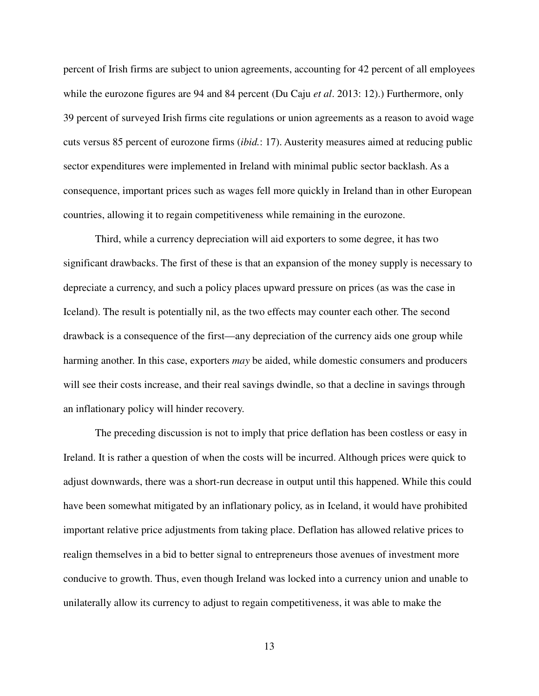percent of Irish firms are subject to union agreements, accounting for 42 percent of all employees while the eurozone figures are 94 and 84 percent (Du Caju *et al*. 2013: 12).) Furthermore, only 39 percent of surveyed Irish firms cite regulations or union agreements as a reason to avoid wage cuts versus 85 percent of eurozone firms (*ibid.*: 17). Austerity measures aimed at reducing public sector expenditures were implemented in Ireland with minimal public sector backlash. As a consequence, important prices such as wages fell more quickly in Ireland than in other European countries, allowing it to regain competitiveness while remaining in the eurozone.

 Third, while a currency depreciation will aid exporters to some degree, it has two significant drawbacks. The first of these is that an expansion of the money supply is necessary to depreciate a currency, and such a policy places upward pressure on prices (as was the case in Iceland). The result is potentially nil, as the two effects may counter each other. The second drawback is a consequence of the first—any depreciation of the currency aids one group while harming another. In this case, exporters *may* be aided, while domestic consumers and producers will see their costs increase, and their real savings dwindle, so that a decline in savings through an inflationary policy will hinder recovery.

 The preceding discussion is not to imply that price deflation has been costless or easy in Ireland. It is rather a question of when the costs will be incurred. Although prices were quick to adjust downwards, there was a short-run decrease in output until this happened. While this could have been somewhat mitigated by an inflationary policy, as in Iceland, it would have prohibited important relative price adjustments from taking place. Deflation has allowed relative prices to realign themselves in a bid to better signal to entrepreneurs those avenues of investment more conducive to growth. Thus, even though Ireland was locked into a currency union and unable to unilaterally allow its currency to adjust to regain competitiveness, it was able to make the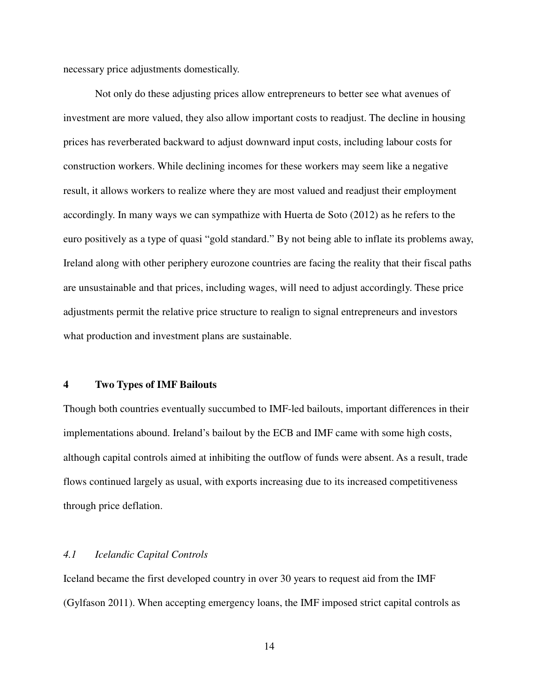necessary price adjustments domestically.

 Not only do these adjusting prices allow entrepreneurs to better see what avenues of investment are more valued, they also allow important costs to readjust. The decline in housing prices has reverberated backward to adjust downward input costs, including labour costs for construction workers. While declining incomes for these workers may seem like a negative result, it allows workers to realize where they are most valued and readjust their employment accordingly. In many ways we can sympathize with Huerta de Soto (2012) as he refers to the euro positively as a type of quasi "gold standard." By not being able to inflate its problems away, Ireland along with other periphery eurozone countries are facing the reality that their fiscal paths are unsustainable and that prices, including wages, will need to adjust accordingly. These price adjustments permit the relative price structure to realign to signal entrepreneurs and investors what production and investment plans are sustainable.

#### **4 Two Types of IMF Bailouts**

Though both countries eventually succumbed to IMF-led bailouts, important differences in their implementations abound. Ireland's bailout by the ECB and IMF came with some high costs, although capital controls aimed at inhibiting the outflow of funds were absent. As a result, trade flows continued largely as usual, with exports increasing due to its increased competitiveness through price deflation.

### *4.1 Icelandic Capital Controls*

Iceland became the first developed country in over 30 years to request aid from the IMF (Gylfason 2011). When accepting emergency loans, the IMF imposed strict capital controls as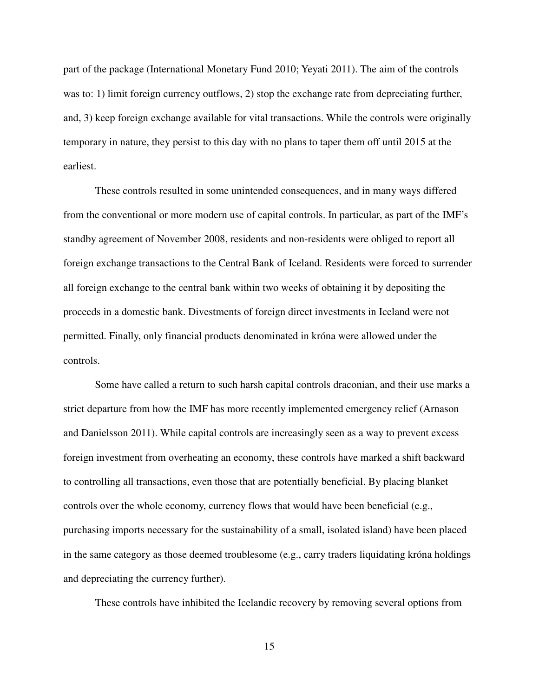part of the package (International Monetary Fund 2010; Yeyati 2011). The aim of the controls was to: 1) limit foreign currency outflows, 2) stop the exchange rate from depreciating further, and, 3) keep foreign exchange available for vital transactions. While the controls were originally temporary in nature, they persist to this day with no plans to taper them off until 2015 at the earliest.

These controls resulted in some unintended consequences, and in many ways differed from the conventional or more modern use of capital controls. In particular, as part of the IMF's standby agreement of November 2008, residents and non-residents were obliged to report all foreign exchange transactions to the Central Bank of Iceland. Residents were forced to surrender all foreign exchange to the central bank within two weeks of obtaining it by depositing the proceeds in a domestic bank. Divestments of foreign direct investments in Iceland were not permitted. Finally, only financial products denominated in króna were allowed under the controls.

 Some have called a return to such harsh capital controls draconian, and their use marks a strict departure from how the IMF has more recently implemented emergency relief (Arnason and Danielsson 2011). While capital controls are increasingly seen as a way to prevent excess foreign investment from overheating an economy, these controls have marked a shift backward to controlling all transactions, even those that are potentially beneficial. By placing blanket controls over the whole economy, currency flows that would have been beneficial (e.g., purchasing imports necessary for the sustainability of a small, isolated island) have been placed in the same category as those deemed troublesome (e.g., carry traders liquidating króna holdings and depreciating the currency further).

These controls have inhibited the Icelandic recovery by removing several options from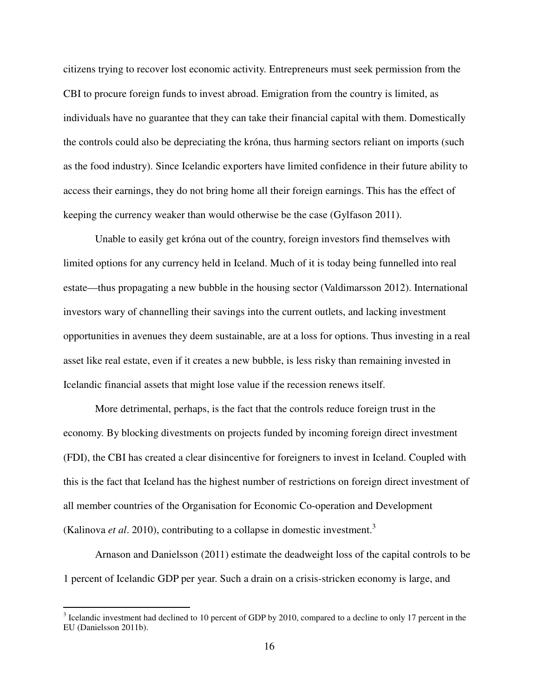citizens trying to recover lost economic activity. Entrepreneurs must seek permission from the CBI to procure foreign funds to invest abroad. Emigration from the country is limited, as individuals have no guarantee that they can take their financial capital with them. Domestically the controls could also be depreciating the króna, thus harming sectors reliant on imports (such as the food industry). Since Icelandic exporters have limited confidence in their future ability to access their earnings, they do not bring home all their foreign earnings. This has the effect of keeping the currency weaker than would otherwise be the case (Gylfason 2011).

 Unable to easily get króna out of the country, foreign investors find themselves with limited options for any currency held in Iceland. Much of it is today being funnelled into real estate—thus propagating a new bubble in the housing sector (Valdimarsson 2012). International investors wary of channelling their savings into the current outlets, and lacking investment opportunities in avenues they deem sustainable, are at a loss for options. Thus investing in a real asset like real estate, even if it creates a new bubble, is less risky than remaining invested in Icelandic financial assets that might lose value if the recession renews itself.

 More detrimental, perhaps, is the fact that the controls reduce foreign trust in the economy. By blocking divestments on projects funded by incoming foreign direct investment (FDI), the CBI has created a clear disincentive for foreigners to invest in Iceland. Coupled with this is the fact that Iceland has the highest number of restrictions on foreign direct investment of all member countries of the Organisation for Economic Co-operation and Development (Kalinova *et al*. 2010), contributing to a collapse in domestic investment.<sup>3</sup>

 Arnason and Danielsson (2011) estimate the deadweight loss of the capital controls to be 1 percent of Icelandic GDP per year. Such a drain on a crisis-stricken economy is large, and

 $\overline{a}$ 

 $3$  Icelandic investment had declined to 10 percent of GDP by 2010, compared to a decline to only 17 percent in the EU (Danielsson 2011b).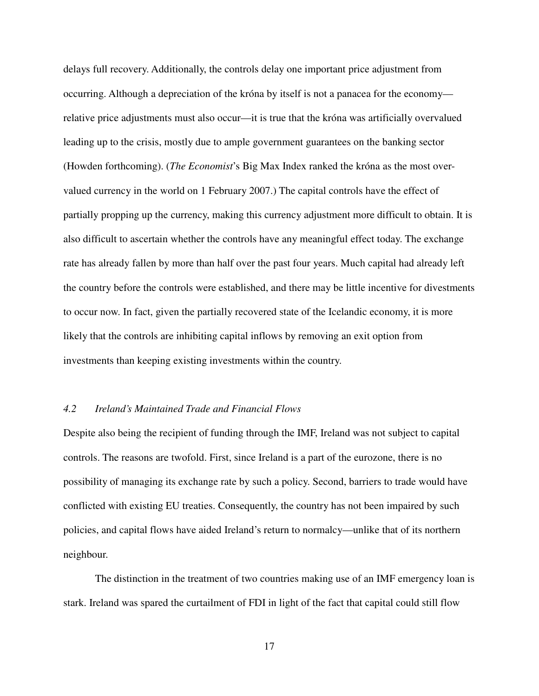delays full recovery. Additionally, the controls delay one important price adjustment from occurring. Although a depreciation of the króna by itself is not a panacea for the economy relative price adjustments must also occur—it is true that the króna was artificially overvalued leading up to the crisis, mostly due to ample government guarantees on the banking sector (Howden forthcoming). (*The Economist*'s Big Max Index ranked the króna as the most overvalued currency in the world on 1 February 2007.) The capital controls have the effect of partially propping up the currency, making this currency adjustment more difficult to obtain. It is also difficult to ascertain whether the controls have any meaningful effect today. The exchange rate has already fallen by more than half over the past four years. Much capital had already left the country before the controls were established, and there may be little incentive for divestments to occur now. In fact, given the partially recovered state of the Icelandic economy, it is more likely that the controls are inhibiting capital inflows by removing an exit option from investments than keeping existing investments within the country.

#### *4.2 Ireland's Maintained Trade and Financial Flows*

Despite also being the recipient of funding through the IMF, Ireland was not subject to capital controls. The reasons are twofold. First, since Ireland is a part of the eurozone, there is no possibility of managing its exchange rate by such a policy. Second, barriers to trade would have conflicted with existing EU treaties. Consequently, the country has not been impaired by such policies, and capital flows have aided Ireland's return to normalcy—unlike that of its northern neighbour.

 The distinction in the treatment of two countries making use of an IMF emergency loan is stark. Ireland was spared the curtailment of FDI in light of the fact that capital could still flow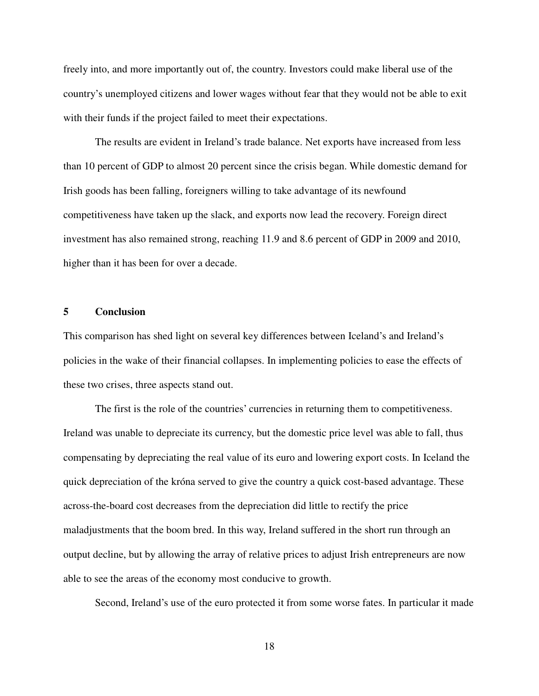freely into, and more importantly out of, the country. Investors could make liberal use of the country's unemployed citizens and lower wages without fear that they would not be able to exit with their funds if the project failed to meet their expectations.

 The results are evident in Ireland's trade balance. Net exports have increased from less than 10 percent of GDP to almost 20 percent since the crisis began. While domestic demand for Irish goods has been falling, foreigners willing to take advantage of its newfound competitiveness have taken up the slack, and exports now lead the recovery. Foreign direct investment has also remained strong, reaching 11.9 and 8.6 percent of GDP in 2009 and 2010, higher than it has been for over a decade.

#### **5 Conclusion**

This comparison has shed light on several key differences between Iceland's and Ireland's policies in the wake of their financial collapses. In implementing policies to ease the effects of these two crises, three aspects stand out.

The first is the role of the countries' currencies in returning them to competitiveness. Ireland was unable to depreciate its currency, but the domestic price level was able to fall, thus compensating by depreciating the real value of its euro and lowering export costs. In Iceland the quick depreciation of the króna served to give the country a quick cost-based advantage. These across-the-board cost decreases from the depreciation did little to rectify the price maladjustments that the boom bred. In this way, Ireland suffered in the short run through an output decline, but by allowing the array of relative prices to adjust Irish entrepreneurs are now able to see the areas of the economy most conducive to growth.

Second, Ireland's use of the euro protected it from some worse fates. In particular it made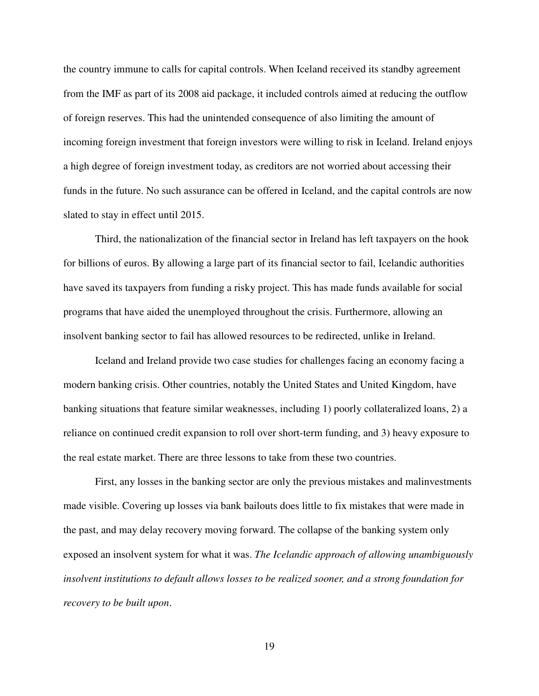the country immune to calls for capital controls. When Iceland received its standby agreement from the IMF as part of its 2008 aid package, it included controls aimed at reducing the outflow of foreign reserves. This had the unintended consequence of also limiting the amount of incoming foreign investment that foreign investors were willing to risk in Iceland. Ireland enjoys a high degree of foreign investment today, as creditors are not worried about accessing their funds in the future. No such assurance can be offered in Iceland, and the capital controls are now slated to stay in effect until 2015.

 Third, the nationalization of the financial sector in Ireland has left taxpayers on the hook for billions of euros. By allowing a large part of its financial sector to fail, Icelandic authorities have saved its taxpayers from funding a risky project. This has made funds available for social programs that have aided the unemployed throughout the crisis. Furthermore, allowing an insolvent banking sector to fail has allowed resources to be redirected, unlike in Ireland.

 Iceland and Ireland provide two case studies for challenges facing an economy facing a modern banking crisis. Other countries, notably the United States and United Kingdom, have banking situations that feature similar weaknesses, including 1) poorly collateralized loans, 2) a reliance on continued credit expansion to roll over short-term funding, and 3) heavy exposure to the real estate market. There are three lessons to take from these two countries.

First, any losses in the banking sector are only the previous mistakes and malinvestments made visible. Covering up losses via bank bailouts does little to fix mistakes that were made in the past, and may delay recovery moving forward. The collapse of the banking system only exposed an insolvent system for what it was. *The Icelandic approach of allowing unambiguously insolvent institutions to default allows losses to be realized sooner, and a strong foundation for recovery to be built upon*.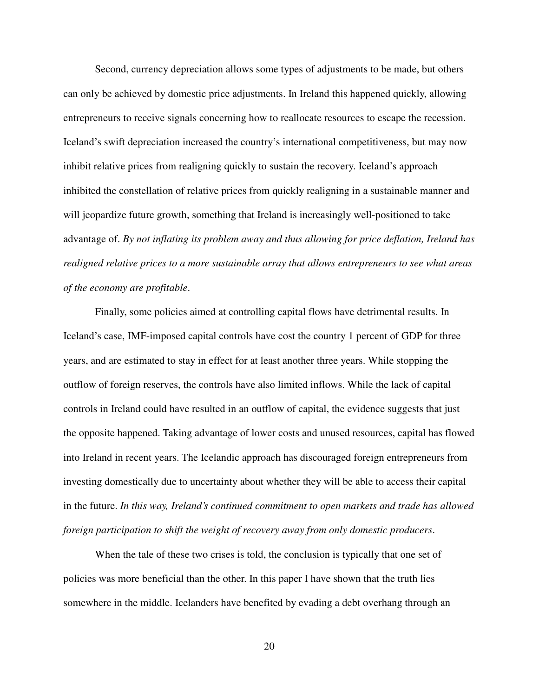Second, currency depreciation allows some types of adjustments to be made, but others can only be achieved by domestic price adjustments. In Ireland this happened quickly, allowing entrepreneurs to receive signals concerning how to reallocate resources to escape the recession. Iceland's swift depreciation increased the country's international competitiveness, but may now inhibit relative prices from realigning quickly to sustain the recovery. Iceland's approach inhibited the constellation of relative prices from quickly realigning in a sustainable manner and will jeopardize future growth, something that Ireland is increasingly well-positioned to take advantage of. *By not inflating its problem away and thus allowing for price deflation, Ireland has realigned relative prices to a more sustainable array that allows entrepreneurs to see what areas of the economy are profitable*.

Finally, some policies aimed at controlling capital flows have detrimental results. In Iceland's case, IMF-imposed capital controls have cost the country 1 percent of GDP for three years, and are estimated to stay in effect for at least another three years. While stopping the outflow of foreign reserves, the controls have also limited inflows. While the lack of capital controls in Ireland could have resulted in an outflow of capital, the evidence suggests that just the opposite happened. Taking advantage of lower costs and unused resources, capital has flowed into Ireland in recent years. The Icelandic approach has discouraged foreign entrepreneurs from investing domestically due to uncertainty about whether they will be able to access their capital in the future. *In this way, Ireland's continued commitment to open markets and trade has allowed foreign participation to shift the weight of recovery away from only domestic producers*.

When the tale of these two crises is told, the conclusion is typically that one set of policies was more beneficial than the other. In this paper I have shown that the truth lies somewhere in the middle. Icelanders have benefited by evading a debt overhang through an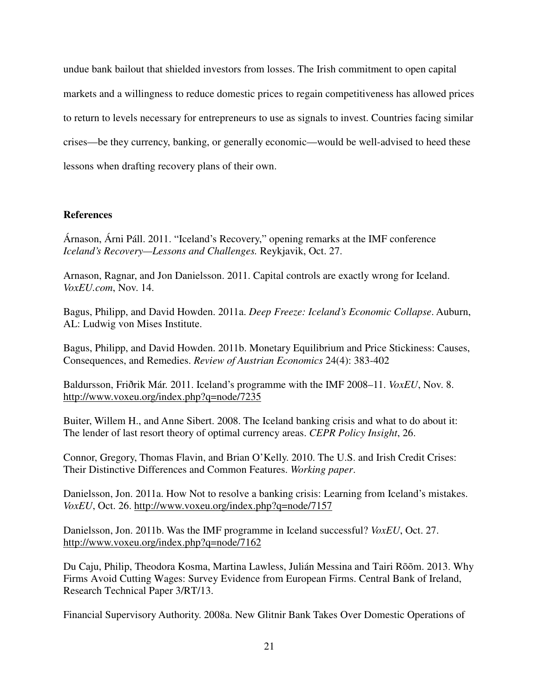undue bank bailout that shielded investors from losses. The Irish commitment to open capital markets and a willingness to reduce domestic prices to regain competitiveness has allowed prices to return to levels necessary for entrepreneurs to use as signals to invest. Countries facing similar crises—be they currency, banking, or generally economic—would be well-advised to heed these lessons when drafting recovery plans of their own.

# **References**

Árnason, Árni Páll. 2011. "Iceland's Recovery," opening remarks at the IMF conference *Iceland's Recovery—Lessons and Challenges.* Reykjavik, Oct. 27.

Arnason, Ragnar, and Jon Danielsson. 2011. Capital controls are exactly wrong for Iceland. *VoxEU.com*, Nov. 14.

Bagus, Philipp, and David Howden. 2011a. *Deep Freeze: Iceland's Economic Collapse*. Auburn, AL: Ludwig von Mises Institute.

Bagus, Philipp, and David Howden. 2011b. Monetary Equilibrium and Price Stickiness: Causes, Consequences, and Remedies. *Review of Austrian Economics* 24(4): 383-402

Baldursson, Friðrik Már. 2011. Iceland's programme with the IMF 2008–11. *VoxEU*, Nov. 8. http://www.voxeu.org/index.php?q=node/7235

Buiter, Willem H., and Anne Sibert. 2008. The Iceland banking crisis and what to do about it: The lender of last resort theory of optimal currency areas. *CEPR Policy Insight*, 26.

Connor, Gregory, Thomas Flavin, and Brian O'Kelly. 2010. The U.S. and Irish Credit Crises: Their Distinctive Differences and Common Features. *Working paper*.

Danielsson, Jon. 2011a. How Not to resolve a banking crisis: Learning from Iceland's mistakes. *VoxEU*, Oct. 26. http://www.voxeu.org/index.php?q=node/7157

Danielsson, Jon. 2011b. Was the IMF programme in Iceland successful? *VoxEU*, Oct. 27. http://www.voxeu.org/index.php?q=node/7162

Du Caju, Philip, Theodora Kosma, Martina Lawless, Julián Messina and Tairi Rõõm. 2013. Why Firms Avoid Cutting Wages: Survey Evidence from European Firms. Central Bank of Ireland, Research Technical Paper 3/RT/13.

Financial Supervisory Authority. 2008a. New Glitnir Bank Takes Over Domestic Operations of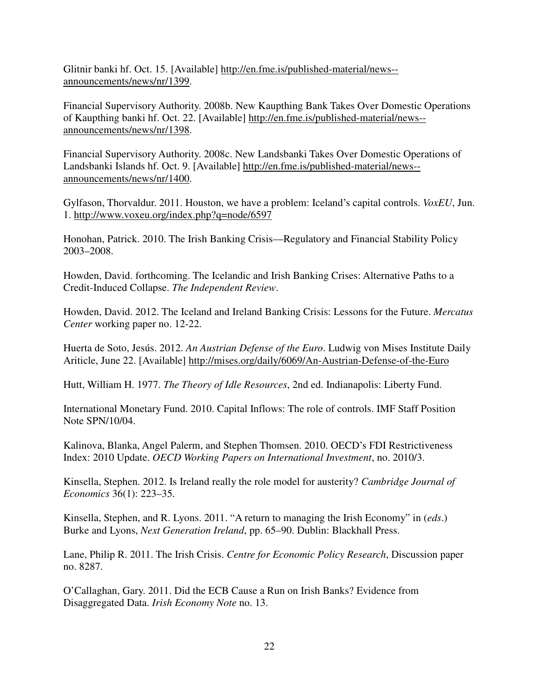Glitnir banki hf. Oct. 15. [Available] http://en.fme.is/published-material/news- announcements/news/nr/1399.

Financial Supervisory Authority. 2008b. New Kaupthing Bank Takes Over Domestic Operations of Kaupthing banki hf. Oct. 22. [Available] http://en.fme.is/published-material/news- announcements/news/nr/1398.

Financial Supervisory Authority. 2008c. New Landsbanki Takes Over Domestic Operations of Landsbanki Islands hf. Oct. 9. [Available] http://en.fme.is/published-material/news- announcements/news/nr/1400.

Gylfason, Thorvaldur. 2011. Houston, we have a problem: Iceland's capital controls. *VoxEU*, Jun. 1. http://www.voxeu.org/index.php?q=node/6597

Honohan, Patrick. 2010. The Irish Banking Crisis—Regulatory and Financial Stability Policy 2003–2008.

Howden, David. forthcoming. The Icelandic and Irish Banking Crises: Alternative Paths to a Credit-Induced Collapse. *The Independent Review*.

Howden, David. 2012. The Iceland and Ireland Banking Crisis: Lessons for the Future. *Mercatus Center* working paper no. 12-22.

Huerta de Soto, Jesús. 2012. *An Austrian Defense of the Euro*. Ludwig von Mises Institute Daily Ariticle, June 22. [Available] http://mises.org/daily/6069/An-Austrian-Defense-of-the-Euro

Hutt, William H. 1977. *The Theory of Idle Resources*, 2nd ed. Indianapolis: Liberty Fund.

International Monetary Fund. 2010. Capital Inflows: The role of controls. IMF Staff Position Note SPN/10/04.

Kalinova, Blanka, Angel Palerm, and Stephen Thomsen. 2010. OECD's FDI Restrictiveness Index: 2010 Update. *OECD Working Papers on International Investment*, no. 2010/3.

Kinsella, Stephen. 2012. Is Ireland really the role model for austerity? *Cambridge Journal of Economics* 36(1): 223–35.

Kinsella, Stephen, and R. Lyons. 2011. "A return to managing the Irish Economy" in (*eds*.) Burke and Lyons, *Next Generation Ireland*, pp. 65–90. Dublin: Blackhall Press.

Lane, Philip R. 2011. The Irish Crisis. *Centre for Economic Policy Research*, Discussion paper no. 8287.

O'Callaghan, Gary. 2011. Did the ECB Cause a Run on Irish Banks? Evidence from Disaggregated Data. *Irish Economy Note* no. 13.